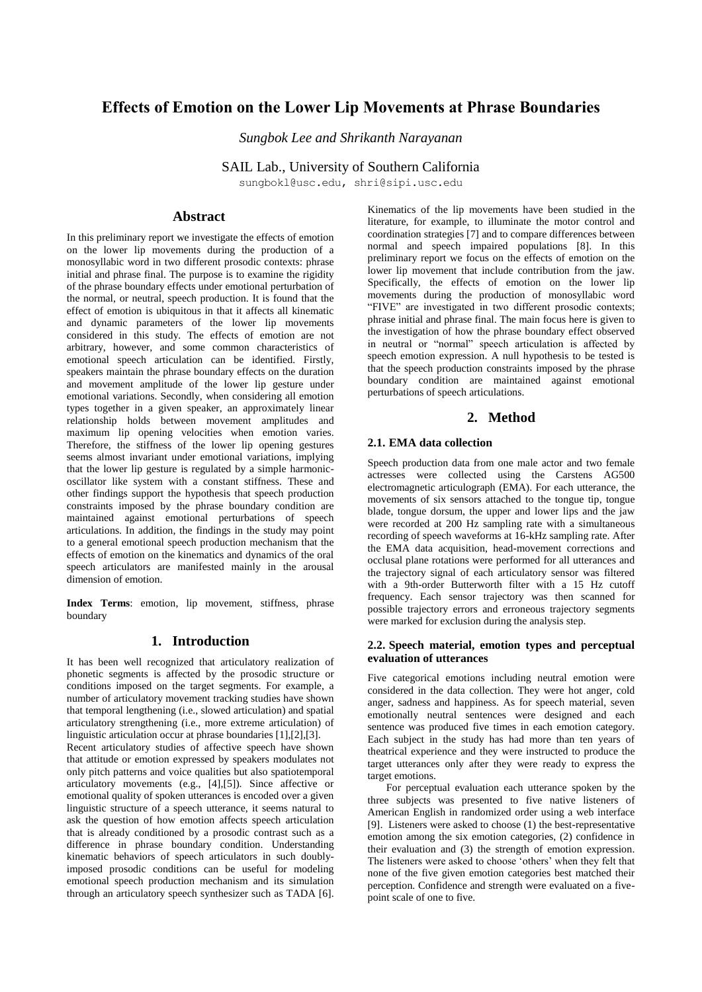# **Effects of Emotion on the Lower Lip Movements at Phrase Boundaries**

*Sungbok Lee and Shrikanth Narayanan*

SAIL Lab., University of Southern California

sungbokl@usc.edu, shri@sipi.usc.edu

# **Abstract**

In this preliminary report we investigate the effects of emotion on the lower lip movements during the production of a monosyllabic word in two different prosodic contexts: phrase initial and phrase final. The purpose is to examine the rigidity of the phrase boundary effects under emotional perturbation of the normal, or neutral, speech production. It is found that the effect of emotion is ubiquitous in that it affects all kinematic and dynamic parameters of the lower lip movements considered in this study. The effects of emotion are not arbitrary, however, and some common characteristics of emotional speech articulation can be identified. Firstly, speakers maintain the phrase boundary effects on the duration and movement amplitude of the lower lip gesture under emotional variations. Secondly, when considering all emotion types together in a given speaker, an approximately linear relationship holds between movement amplitudes and maximum lip opening velocities when emotion varies. Therefore, the stiffness of the lower lip opening gestures seems almost invariant under emotional variations, implying that the lower lip gesture is regulated by a simple harmonicoscillator like system with a constant stiffness. These and other findings support the hypothesis that speech production constraints imposed by the phrase boundary condition are maintained against emotional perturbations of speech articulations. In addition, the findings in the study may point to a general emotional speech production mechanism that the effects of emotion on the kinematics and dynamics of the oral speech articulators are manifested mainly in the arousal dimension of emotion.

**Index Terms**: emotion, lip movement, stiffness, phrase boundary

# **1. Introduction**

It has been well recognized that articulatory realization of phonetic segments is affected by the prosodic structure or conditions imposed on the target segments. For example, a number of articulatory movement tracking studies have shown that temporal lengthening (i.e., slowed articulation) and spatial articulatory strengthening (i.e., more extreme articulation) of linguistic articulation occur at phrase boundaries [1],[2],[3].

Recent articulatory studies of affective speech have shown that attitude or emotion expressed by speakers modulates not only pitch patterns and voice qualities but also spatiotemporal articulatory movements (e.g., [4],[5]). Since affective or emotional quality of spoken utterances is encoded over a given linguistic structure of a speech utterance, it seems natural to ask the question of how emotion affects speech articulation that is already conditioned by a prosodic contrast such as a difference in phrase boundary condition. Understanding kinematic behaviors of speech articulators in such doublyimposed prosodic conditions can be useful for modeling emotional speech production mechanism and its simulation through an articulatory speech synthesizer such as TADA [6].

Kinematics of the lip movements have been studied in the literature, for example, to illuminate the motor control and coordination strategies [7] and to compare differences between normal and speech impaired populations [8]. In this preliminary report we focus on the effects of emotion on the lower lip movement that include contribution from the jaw. Specifically, the effects of emotion on the lower lip movements during the production of monosyllabic word "FIVE" are investigated in two different prosodic contexts; phrase initial and phrase final. The main focus here is given to the investigation of how the phrase boundary effect observed in neutral or "normal" speech articulation is affected by speech emotion expression. A null hypothesis to be tested is that the speech production constraints imposed by the phrase boundary condition are maintained against emotional perturbations of speech articulations.

# **2. Method**

# **2.1. EMA data collection**

Speech production data from one male actor and two female actresses were collected using the Carstens AG500 electromagnetic articulograph (EMA). For each utterance, the movements of six sensors attached to the tongue tip, tongue blade, tongue dorsum, the upper and lower lips and the jaw were recorded at 200 Hz sampling rate with a simultaneous recording of speech waveforms at 16-kHz sampling rate. After the EMA data acquisition, head-movement corrections and occlusal plane rotations were performed for all utterances and the trajectory signal of each articulatory sensor was filtered with a 9th-order Butterworth filter with a 15 Hz cutoff frequency. Each sensor trajectory was then scanned for possible trajectory errors and erroneous trajectory segments were marked for exclusion during the analysis step.

### **2.2. Speech material, emotion types and perceptual evaluation of utterances**

Five categorical emotions including neutral emotion were considered in the data collection. They were hot anger, cold anger, sadness and happiness. As for speech material, seven emotionally neutral sentences were designed and each sentence was produced five times in each emotion category. Each subject in the study has had more than ten years of theatrical experience and they were instructed to produce the target utterances only after they were ready to express the target emotions.

 For perceptual evaluation each utterance spoken by the three subjects was presented to five native listeners of American English in randomized order using a web interface [9]. Listeners were asked to choose (1) the best-representative emotion among the six emotion categories, (2) confidence in their evaluation and (3) the strength of emotion expression. The listeners were asked to choose 'others' when they felt that none of the five given emotion categories best matched their perception. Confidence and strength were evaluated on a fivepoint scale of one to five.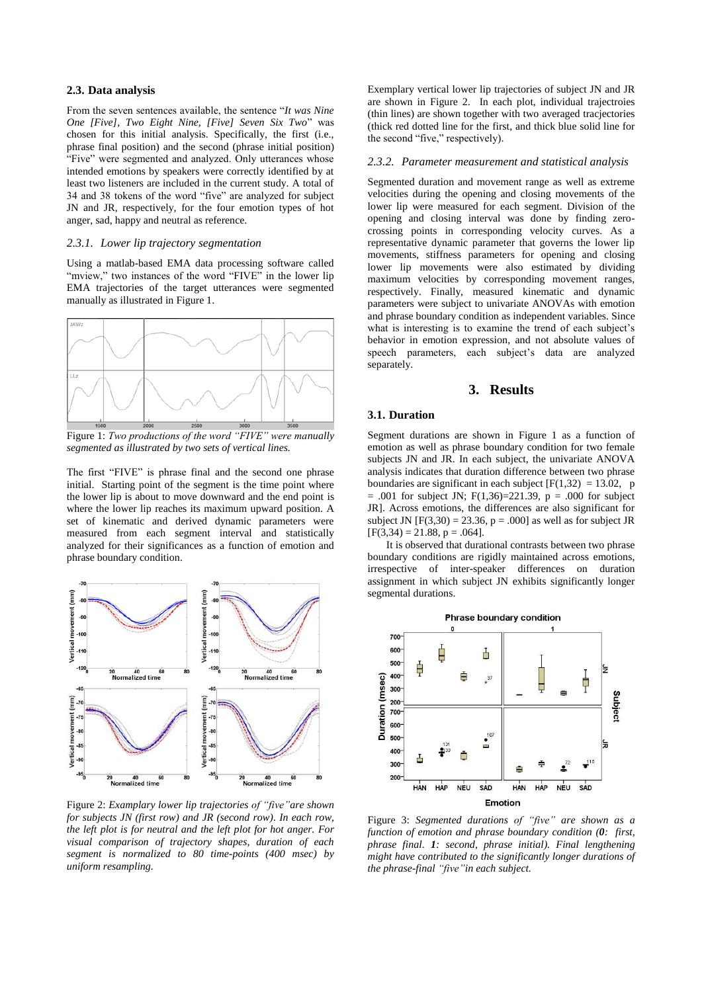### **2.3. Data analysis**

From the seven sentences available, the sentence "*It was Nine One [Five], Two Eight Nine, [Five] Seven Six Two*" was chosen for this initial analysis. Specifically, the first (i.e., phrase final position) and the second (phrase initial position) "Five" were segmented and analyzed. Only utterances whose intended emotions by speakers were correctly identified by at least two listeners are included in the current study. A total of 34 and 38 tokens of the word "five" are analyzed for subject JN and JR, respectively, for the four emotion types of hot anger, sad, happy and neutral as reference.

### *2.3.1. Lower lip trajectory segmentation*

Using a matlab-based EMA data processing software called "mview," two instances of the word "FIVE" in the lower lip EMA trajectories of the target utterances were segmented manually as illustrated in Figure 1.



Figure 1: *Two productions of the word "FIVE" were manually segmented as illustrated by two sets of vertical lines.*

The first "FIVE" is phrase final and the second one phrase initial. Starting point of the segment is the time point where the lower lip is about to move downward and the end point is where the lower lip reaches its maximum upward position. A set of kinematic and derived dynamic parameters were measured from each segment interval and statistically analyzed for their significances as a function of emotion and phrase boundary condition.



Figure 2: *Examplary lower lip trajectories of "five"are shown for subjects JN (first row) and JR (second row). In each row, the left plot is for neutral and the left plot for hot anger. For visual comparison of trajectory shapes, duration of each segment is normalized to 80 time-points (400 msec) by uniform resampling.*

Exemplary vertical lower lip trajectories of subject JN and JR are shown in Figure 2. In each plot, individual trajectroies (thin lines) are shown together with two averaged tracjectories (thick red dotted line for the first, and thick blue solid line for the second "five," respectively).

#### *2.3.2. Parameter measurement and statistical analysis*

Segmented duration and movement range as well as extreme velocities during the opening and closing movements of the lower lip were measured for each segment. Division of the opening and closing interval was done by finding zerocrossing points in corresponding velocity curves. As a representative dynamic parameter that governs the lower lip movements, stiffness parameters for opening and closing lower lip movements were also estimated by dividing maximum velocities by corresponding movement ranges, respectively. Finally, measured kinematic and dynamic parameters were subject to univariate ANOVAs with emotion and phrase boundary condition as independent variables. Since what is interesting is to examine the trend of each subject's behavior in emotion expression, and not absolute values of speech parameters, each subject's data are analyzed separately.

# **3. Results**

#### **3.1. Duration**

Segment durations are shown in Figure 1 as a function of emotion as well as phrase boundary condition for two female subjects JN and JR. In each subject, the univariate ANOVA analysis indicates that duration difference between two phrase boundaries are significant in each subject  $[F(1,32) = 13.02, p$  $= .001$  for subject JN; F(1,36)=221.39, p = .000 for subject JR]. Across emotions, the differences are also significant for subject JN  $[F(3,30) = 23.36, p = .000]$  as well as for subject JR  $[F(3,34) = 21.88, p = .064].$ 

 It is observed that durational contrasts between two phrase boundary conditions are rigidly maintained across emotions, irrespective of inter-speaker differences on duration assignment in which subject JN exhibits significantly longer segmental durations.



Figure 3: *Segmented durations of "five" are shown as a function of emotion and phrase boundary condition (0: first, phrase final. 1: second, phrase initial). Final lengthening might have contributed to the significantly longer durations of the phrase-final "five"in each subject.*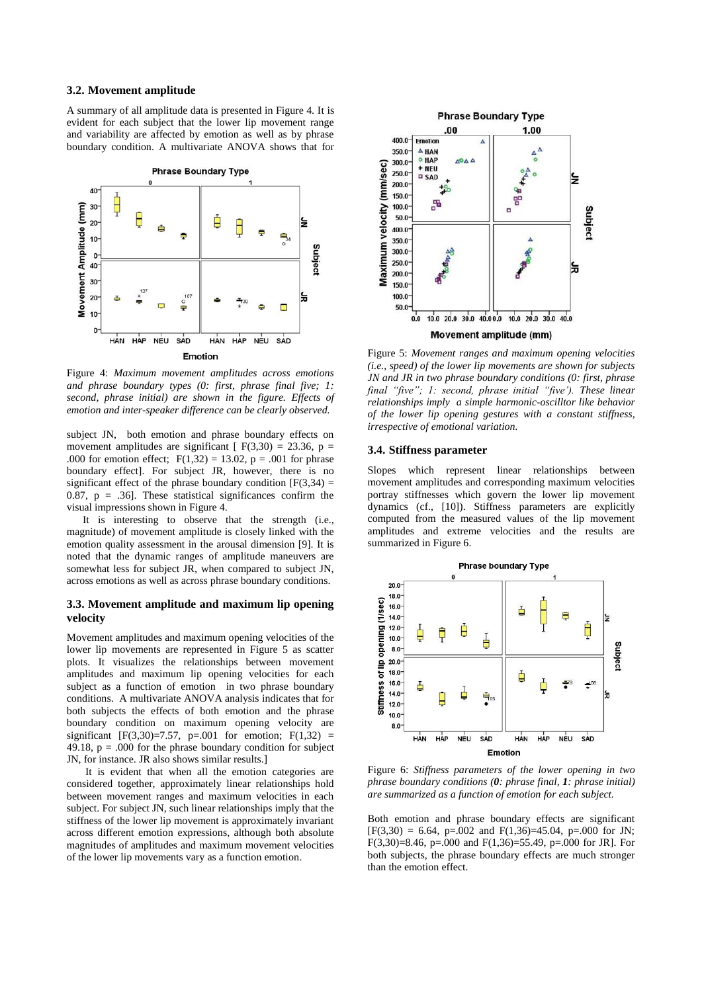#### **3.2. Movement amplitude**

A summary of all amplitude data is presented in Figure 4. It is evident for each subject that the lower lip movement range and variability are affected by emotion as well as by phrase boundary condition. A multivariate ANOVA shows that for



Figure 4: *Maximum movement amplitudes across emotions and phrase boundary types (0: first, phrase final five; 1: second, phrase initial) are shown in the figure. Effects of emotion and inter-speaker difference can be clearly observed.*

subject JN, both emotion and phrase boundary effects on movement amplitudes are significant  $[F(3,30) = 23.36, p =$ .000 for emotion effect;  $F(1,32) = 13.02$ ,  $p = .001$  for phrase boundary effect]. For subject JR, however, there is no significant effect of the phrase boundary condition  $[F(3,34) =$ 0.87,  $p = .36$ ]. These statistical significances confirm the visual impressions shown in Figure 4.

 It is interesting to observe that the strength (i.e., magnitude) of movement amplitude is closely linked with the emotion quality assessment in the arousal dimension [9]. It is noted that the dynamic ranges of amplitude maneuvers are somewhat less for subject JR, when compared to subject JN, across emotions as well as across phrase boundary conditions.

## **3.3. Movement amplitude and maximum lip opening velocity**

Movement amplitudes and maximum opening velocities of the lower lip movements are represented in Figure 5 as scatter plots. It visualizes the relationships between movement amplitudes and maximum lip opening velocities for each subject as a function of emotion in two phrase boundary conditions. A multivariate ANOVA analysis indicates that for both subjects the effects of both emotion and the phrase boundary condition on maximum opening velocity are significant [F(3,30)=7.57, p=.001 for emotion; F(1,32) = 49.18,  $p = .000$  for the phrase boundary condition for subject JN, for instance. JR also shows similar results.]

 It is evident that when all the emotion categories are considered together, approximately linear relationships hold between movement ranges and maximum velocities in each subject. For subject JN, such linear relationships imply that the stiffness of the lower lip movement is approximately invariant across different emotion expressions, although both absolute magnitudes of amplitudes and maximum movement velocities of the lower lip movements vary as a function emotion.



Figure 5: *Movement ranges and maximum opening velocities (i.e., speed) of the lower lip movements are shown for subjects JN and JR in two phrase boundary conditions (0: first, phrase final "five"; 1: second, phrase initial "five'). These linear relationships imply a simple harmonic-oscilltor like behavior of the lower lip opening gestures with a constant stiffness, irrespective of emotional variation.*

### **3.4. Stiffness parameter**

Slopes which represent linear relationships between movement amplitudes and corresponding maximum velocities portray stiffnesses which govern the lower lip movement dynamics (cf., [10]). Stiffness parameters are explicitly computed from the measured values of the lip movement amplitudes and extreme velocities and the results are summarized in Figure 6.



Figure 6: *Stiffness parameters of the lower opening in two phrase boundary conditions (0: phrase final, 1: phrase initial) are summarized as a function of emotion for each subject.*

Both emotion and phrase boundary effects are significant  $[F(3,30) = 6.64, p=.002$  and  $F(1,36)=45.04, p=.000$  for JN; F(3,30)=8.46, p=.000 and F(1,36)=55.49, p=.000 for JR]. For both subjects, the phrase boundary effects are much stronger than the emotion effect.